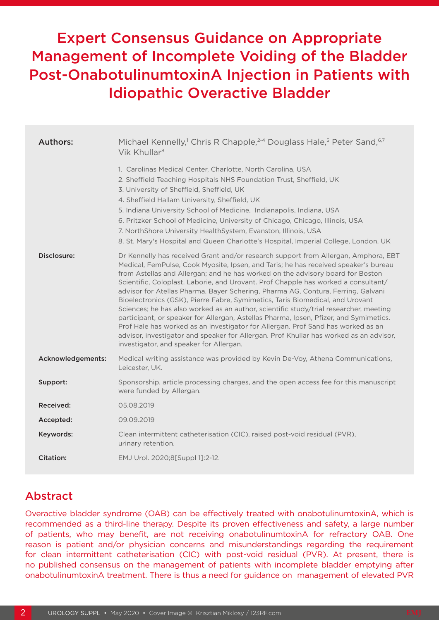# Expert Consensus Guidance on Appropriate Management of Incomplete Voiding of the Bladder Post-OnabotulinumtoxinA Injection in Patients with Idiopathic Overactive Bladder

| <b>Authors:</b>   | Michael Kennelly, <sup>1</sup> Chris R Chapple, <sup>2-4</sup> Douglass Hale, <sup>5</sup> Peter Sand, <sup>6,7</sup><br>Vik Khullar <sup>8</sup>                                                                                                                                                                                                                                                                                                                                                                                                                                                                                                                                                                                                                                                                                                                                                                                 |
|-------------------|-----------------------------------------------------------------------------------------------------------------------------------------------------------------------------------------------------------------------------------------------------------------------------------------------------------------------------------------------------------------------------------------------------------------------------------------------------------------------------------------------------------------------------------------------------------------------------------------------------------------------------------------------------------------------------------------------------------------------------------------------------------------------------------------------------------------------------------------------------------------------------------------------------------------------------------|
|                   | 1. Carolinas Medical Center, Charlotte, North Carolina, USA<br>2. Sheffield Teaching Hospitals NHS Foundation Trust, Sheffield, UK<br>3. University of Sheffield, Sheffield, UK<br>4. Sheffield Hallam University, Sheffield, UK<br>5. Indiana University School of Medicine, Indianapolis, Indiana, USA<br>6. Pritzker School of Medicine, University of Chicago, Chicago, Illinois, USA<br>7. NorthShore University HealthSystem, Evanston, Illinois, USA<br>8. St. Mary's Hospital and Queen Charlotte's Hospital, Imperial College, London, UK                                                                                                                                                                                                                                                                                                                                                                                |
| Disclosure:       | Dr Kennelly has received Grant and/or research support from Allergan, Amphora, EBT<br>Medical, FemPulse, Cook Myosite, Ipsen, and Taris; he has received speaker's bureau<br>from Astellas and Allergan; and he has worked on the advisory board for Boston<br>Scientific, Coloplast, Laborie, and Urovant. Prof Chapple has worked a consultant/<br>advisor for Atellas Pharma, Bayer Schering, Pharma AG, Contura, Ferring, Galvani<br>Bioelectronics (GSK), Pierre Fabre, Symimetics, Taris Biomedical, and Urovant<br>Sciences; he has also worked as an author, scientific study/trial researcher, meeting<br>participant, or speaker for Allergan, Astellas Pharma, Ipsen, Pfizer, and Symimetics.<br>Prof Hale has worked as an investigator for Allergan. Prof Sand has worked as an<br>advisor, investigator and speaker for Allergan. Prof Khullar has worked as an advisor,<br>investigator, and speaker for Allergan. |
| Acknowledgements: | Medical writing assistance was provided by Kevin De-Voy, Athena Communications,<br>Leicester, UK.                                                                                                                                                                                                                                                                                                                                                                                                                                                                                                                                                                                                                                                                                                                                                                                                                                 |
| Support:          | Sponsorship, article processing charges, and the open access fee for this manuscript<br>were funded by Allergan.                                                                                                                                                                                                                                                                                                                                                                                                                                                                                                                                                                                                                                                                                                                                                                                                                  |
| Received:         | 05.08.2019                                                                                                                                                                                                                                                                                                                                                                                                                                                                                                                                                                                                                                                                                                                                                                                                                                                                                                                        |
| Accepted:         | 09.09.2019                                                                                                                                                                                                                                                                                                                                                                                                                                                                                                                                                                                                                                                                                                                                                                                                                                                                                                                        |
| Keywords:         | Clean intermittent catheterisation (CIC), raised post-void residual (PVR),<br>urinary retention.                                                                                                                                                                                                                                                                                                                                                                                                                                                                                                                                                                                                                                                                                                                                                                                                                                  |
| <b>Citation:</b>  | EMJ Urol. 2020;8[Suppl 1]:2-12.                                                                                                                                                                                                                                                                                                                                                                                                                                                                                                                                                                                                                                                                                                                                                                                                                                                                                                   |

# Abstract

Overactive bladder syndrome (OAB) can be effectively treated with onabotulinumtoxinA, which is recommended as a third-line therapy. Despite its proven effectiveness and safety, a large number of patients, who may benefit, are not receiving onabotulinumtoxinA for refractory OAB. One reason is patient and/or physician concerns and misunderstandings regarding the requirement for clean intermittent catheterisation (CIC) with post-void residual (PVR). At present, there is no published consensus on the management of patients with incomplete bladder emptying after onabotulinumtoxinA treatment. There is thus a need for guidance on management of elevated PVR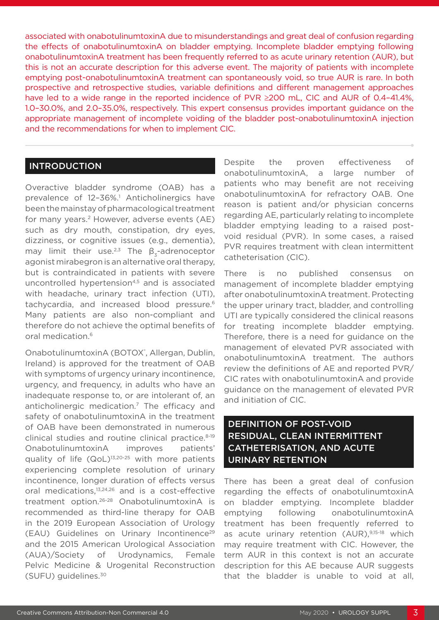associated with onabotulinumtoxinA due to misunderstandings and great deal of confusion regarding the effects of onabotulinumtoxinA on bladder emptying. Incomplete bladder emptying following onabotulinumtoxinA treatment has been frequently referred to as acute urinary retention (AUR), but this is not an accurate description for this adverse event. The majority of patients with incomplete emptying post-onabotulinumtoxinA treatment can spontaneously void, so true AUR is rare. In both prospective and retrospective studies, variable definitions and different management approaches have led to a wide range in the reported incidence of PVR ≥200 mL, CIC and AUR of 0.4–41.4%, 1.0–30.0%, and 2.0–35.0%, respectively. This expert consensus provides important guidance on the appropriate management of incomplete voiding of the bladder post-onabotulinumtoxinA injection and the recommendations for when to implement CIC.

#### **INTRODUCTION**

Overactive bladder syndrome (OAB) has a prevalence of 12-36%.<sup>1</sup> Anticholinergics have been the mainstay of pharmacological treatment for many years.<sup>2</sup> However, adverse events (AE) such as dry mouth, constipation, dry eyes, dizziness, or cognitive issues (e.g., dementia), may limit their use.<sup>2,3</sup> The  $\beta$ <sub>z</sub>-adrenoceptor agonist mirabegron is an alternative oral therapy, but is contraindicated in patients with severe uncontrolled hypertension<sup>4,5</sup> and is associated with headache, urinary tract infection (UTI), tachycardia, and increased blood pressure.<sup>6</sup> Many patients are also non-compliant and therefore do not achieve the optimal benefits of oral medication.6

OnabotulinumtoxinA (BOTOX<sup>®</sup>, Allergan, Dublin, Ireland) is approved for the treatment of OAB with symptoms of urgency urinary incontinence, urgency, and frequency, in adults who have an inadequate response to, or are intolerant of, an anticholinergic medication.7 The efficacy and safety of onabotulinumtoxinA in the treatment of OAB have been demonstrated in numerous clinical studies and routine clinical practice.8-19 OnabotulinumtoxinA improves patients' quality of life (QoL)<sup>13,20-25</sup> with more patients experiencing complete resolution of urinary incontinence, longer duration of effects versus oral medications,<sup>13,24,26</sup> and is a cost-effective treatment option.26-28 OnabotulinumtoxinA is recommended as third-line therapy for OAB in the 2019 European Association of Urology (EAU) Guidelines on Urinary Incontinence<sup>29</sup> and the 2015 American Urological Association (AUA)/Society of Urodynamics, Female Pelvic Medicine & Urogenital Reconstruction (SUFU) guidelines.30

Despite the proven effectiveness of onabotulinumtoxinA, a large number of patients who may benefit are not receiving onabotulinumtoxinA for refractory OAB. One reason is patient and/or physician concerns regarding AE, particularly relating to incomplete bladder emptying leading to a raised postvoid residual (PVR). In some cases, a raised PVR requires treatment with clean intermittent catheterisation (CIC).

There is no published consensus on management of incomplete bladder emptying after onabotulinumtoxinA treatment. Protecting the upper urinary tract, bladder, and controlling UTI are typically considered the clinical reasons for treating incomplete bladder emptying. Therefore, there is a need for guidance on the management of elevated PVR associated with onabotulinumtoxinA treatment. The authors review the definitions of AE and reported PVR/ CIC rates with onabotulinumtoxinA and provide guidance on the management of elevated PVR and initiation of CIC.

### DEFINITION OF POST-VOID RESIDUAL, CLEAN INTERMITTENT CATHETERISATION, AND ACUTE URINARY RETENTION

There has been a great deal of confusion regarding the effects of onabotulinumtoxinA on bladder emptying. Incomplete bladder emptying following onabotulinumtoxinA treatment has been frequently referred to as acute urinary retention (AUR),<sup>9,15-18</sup> which may require treatment with CIC. However, the term AUR in this context is not an accurate description for this AE because AUR suggests that the bladder is unable to void at all,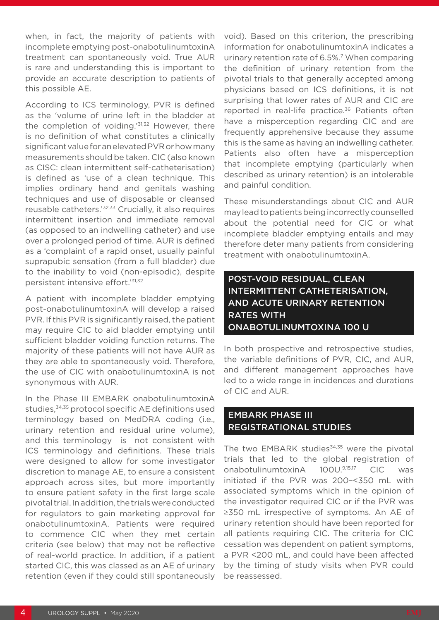when, in fact, the majority of patients with incomplete emptying post-onabotulinumtoxinA treatment can spontaneously void. True AUR is rare and understanding this is important to provide an accurate description to patients of this possible AE.

According to ICS terminology, PVR is defined as the 'volume of urine left in the bladder at the completion of voiding.'31,32 However, there is no definition of what constitutes a clinically significant value for an elevated PVR or how many measurements should be taken. CIC (also known as CISC: clean intermittent self-catheterisation) is defined as 'use of a clean technique. This implies ordinary hand and genitals washing techniques and use of disposable or cleansed reusable catheters.'32,33 Crucially, it also requires intermittent insertion and immediate removal (as opposed to an indwelling catheter) and use over a prolonged period of time. AUR is defined as a 'complaint of a rapid onset, usually painful suprapubic sensation (from a full bladder) due to the inability to void (non-episodic), despite persistent intensive effort.'31,32

A patient with incomplete bladder emptying post-onabotulinumtoxinA will develop a raised PVR. If this PVR is significantly raised, the patient may require CIC to aid bladder emptying until sufficient bladder voiding function returns. The majority of these patients will not have AUR as they are able to spontaneously void. Therefore, the use of CIC with onabotulinumtoxinA is not synonymous with AUR.

In the Phase III EMBARK onabotulinumtoxinA studies,<sup>34,35</sup> protocol specific AE definitions used terminology based on MedDRA coding (i.e., urinary retention and residual urine volume), and this terminology is not consistent with ICS terminology and definitions. These trials were designed to allow for some investigator discretion to manage AE, to ensure a consistent approach across sites, but more importantly to ensure patient safety in the first large scale pivotal trial. In addition, the trials were conducted for regulators to gain marketing approval for onabotulinumtoxinA. Patients were required to commence CIC when they met certain criteria (see below) that may not be reflective of real-world practice. In addition, if a patient started CIC, this was classed as an AE of urinary retention (even if they could still spontaneously void). Based on this criterion, the prescribing information for onabotulinumtoxinA indicates a urinary retention rate of 6.5%.<sup>7</sup> When comparing the definition of urinary retention from the pivotal trials to that generally accepted among physicians based on ICS definitions, it is not surprising that lower rates of AUR and CIC are reported in real-life practice.<sup>36</sup> Patients often have a misperception regarding CIC and are frequently apprehensive because they assume this is the same as having an indwelling catheter. Patients also often have a misperception that incomplete emptying (particularly when described as urinary retention) is an intolerable and painful condition.

These misunderstandings about CIC and AUR may lead to patients being incorrectly counselled about the potential need for CIC or what incomplete bladder emptying entails and may therefore deter many patients from considering treatment with onabotulinumtoxinA.

# POST-VOID RESIDUAL, CLEAN INTERMITTENT CATHETERISATION, AND ACUTE URINARY RETENTION RATES WITH ONABOTULINUMTOXINA 100 U

In both prospective and retrospective studies, the variable definitions of PVR, CIC, and AUR, and different management approaches have led to a wide range in incidences and durations of CIC and AUR.

#### EMBARK PHASE III REGISTRATIONAL STUDIES

The two EMBARK studies $34,35$  were the pivotal trials that led to the global registration of onabotulinumtoxinA 100U.9,15,17 CIC was initiated if the PVR was 200–<350 mL with associated symptoms which in the opinion of the investigator required CIC or if the PVR was ≥350 mL irrespective of symptoms. An AE of urinary retention should have been reported for all patients requiring CIC. The criteria for CIC cessation was dependent on patient symptoms, a PVR <200 mL, and could have been affected by the timing of study visits when PVR could be reassessed.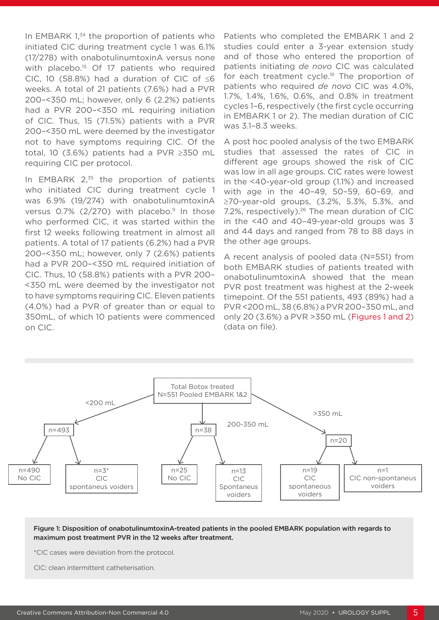In EMBARK 1,<sup>34</sup> the proportion of patients who initiated CIC during treatment cycle 1 was 6.1% (17/278) with onabotulinumtoxinA versus none with placebo.<sup>15</sup> Of 17 patients who required CIC, 10 (58.8%) had a duration of CIC of  $\leq 6$ weeks. A total of 21 patients (7.6%) had a PVR 200–<350 mL; however, only 6 (2.2%) patients had a PVR 200–<350 mL requiring initiation of CIC. Thus, 15 (71.5%) patients with a PVR 200–<350 mL were deemed by the investigator not to have symptoms requiring CIC. Of the total, 10 (3.6%) patients had a PVR ≥350 mL requiring CIC per protocol.

In EMBARK  $2<sub>,35</sub>$  the proportion of patients who initiated CIC during treatment cycle 1 was 6.9% (19/274) with onabotulinumtoxinA versus 0.7% ( $2/270$ ) with placebo.<sup>9</sup> In those who performed CIC, it was started within the first 12 weeks following treatment in almost all patients. A total of 17 patients (6.2%) had a PVR 200–<350 mL; however, only 7 (2.6%) patients had a PVR 200–<350 mL required initiation of CIC. Thus, 10 (58.8%) patients with a PVR 200– <350 mL were deemed by the investigator not to have symptoms requiring CIC. Eleven patients (4.0%) had a PVR of greater than or equal to 350mL, of which 10 patients were commenced on CIC.

Patients who completed the EMBARK 1 and 2 studies could enter a 3-year extension study and of those who entered the proportion of patients initiating *de novo* CIC was calculated for each treatment cycle.<sup>16</sup> The proportion of patients who required *de novo* CIC was 4.0%, 1.7%, 1.4%, 1.6%, 0.6%, and 0.8% in treatment cycles 1–6, respectively (the first cycle occurring in EMBARK 1 or 2). The median duration of CIC was 3.1–8.3 weeks.

A post hoc pooled analysis of the two EMBARK studies that assessed the rates of CIC in different age groups showed the risk of CIC was low in all age groups. CIC rates were lowest in the <40-year-old group (1.1%) and increased with age in the 40–49, 50–59, 60–69, and ≥70-year-old groups, (3.2%, 5.3%, 5.3%, and 7.2%, respectively).<sup>26</sup> The mean duration of CIC in the <40 and 40–49-year-old groups was 3 and 44 days and ranged from 78 to 88 days in the other age groups.

A recent analysis of pooled data (N=551) from both EMBARK studies of patients treated with onabotulinumtoxinA showed that the mean PVR post treatment was highest at the 2-week timepoint. Of the 551 patients, 493 (89%) had a PVR <200 mL, 38 (6.8%) a PVR 200–350 mL, and only 20 (3.6%) a PVR >350 mL (Figures 1 and 2) (data on file).



Figure 1: Disposition of onabotulinumtoxinA-treated patients in the pooled EMBARK population with regards to maximum post treatment PVR in the 12 weeks after treatment.

\*CIC cases were deviation from the protocol.

CIC: clean intermittent catheterisation.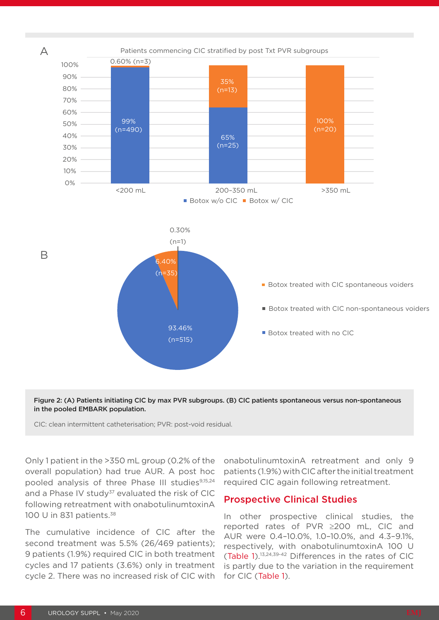

Figure 2: (A) Patients initiating CIC by max PVR subgroups. (B) CIC patients spontaneous versus non-spontaneous in the pooled EMBARK population.

CIC: clean intermittent catheterisation; PVR: post-void residual.

Only 1 patient in the >350 mL group (0.2% of the overall population) had true AUR. A post hoc pooled analysis of three Phase III studies<sup>9,15,24</sup> and a Phase IV study $37$  evaluated the risk of CIC following retreatment with onabotulinumtoxinA 100 U in 831 patients.<sup>38</sup>

The cumulative incidence of CIC after the second treatment was 5.5% (26/469 patients); 9 patients (1.9%) required CIC in both treatment cycles and 17 patients (3.6%) only in treatment cycle 2. There was no increased risk of CIC with

onabotulinumtoxinA retreatment and only 9 patients (1.9%) with CIC after the initial treatment required CIC again following retreatment.

#### Prospective Clinical Studies

In other prospective clinical studies, the reported rates of PVR ≥200 mL, CIC and AUR were 0.4–10.0%, 1.0–10.0%, and 4.3–9.1%, respectively, with onabotulinumtoxinA 100 U (Table 1).13,24,39-42 Differences in the rates of CIC is partly due to the variation in the requirement for CIC (Table 1).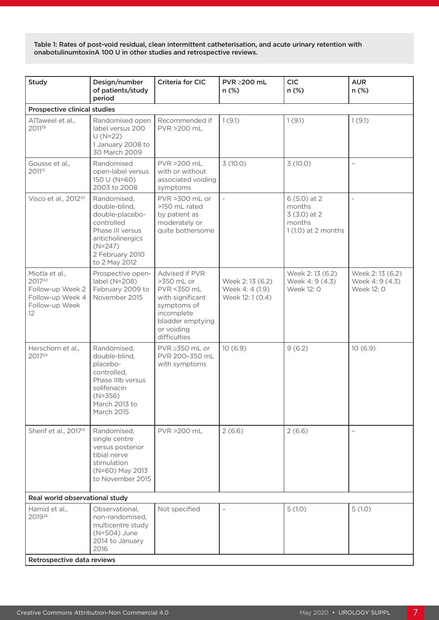Table 1: Rates of post-void residual, clean intermittent catheterisation, and acute urinary retention with onabotulinumtoxinA 100 U in other studies and retrospective reviews.

|                                                                                                         | of patients/study<br>period                                                                                                                            | <b>Criteria for CIC</b>                                                                                                                        | PVR ≥200 mL<br>$n$ (%)                                 | <b>CIC</b><br>n (%)                                                       | <b>AUR</b><br>n (%)                              |  |  |  |
|---------------------------------------------------------------------------------------------------------|--------------------------------------------------------------------------------------------------------------------------------------------------------|------------------------------------------------------------------------------------------------------------------------------------------------|--------------------------------------------------------|---------------------------------------------------------------------------|--------------------------------------------------|--|--|--|
| <b>Prospective clinical studies</b>                                                                     |                                                                                                                                                        |                                                                                                                                                |                                                        |                                                                           |                                                  |  |  |  |
| AlTaweel et al.,<br>201139                                                                              | Randomised open<br>label versus 200<br>$U(N=22)$<br>1 January 2008 to<br>30 March 2009                                                                 | Recommended if<br>PVR >200 mL                                                                                                                  | 1(9.1)                                                 | 1(9.1)                                                                    | 1(9.1)                                           |  |  |  |
| Gousse et al.,<br>201113                                                                                | Randomised<br>open-label versus<br>150 U (N=60)<br>2003 to 2008                                                                                        | PVR >200 mL<br>with or without<br>associated voiding<br>symptoms                                                                               | 3(10.0)                                                | 3(10.0)                                                                   | $\overline{\phantom{a}}$                         |  |  |  |
| Visco et al., 2012 <sup>42</sup>                                                                        | Randomised,<br>double-blind,<br>double-placebo-<br>controlled<br>Phase III versus<br>anticholinergics<br>$(N=247)$<br>2 February 2010<br>to 2 May 2012 | PVR >300 mL or<br>>150 mL rated<br>by patient as<br>moderately or<br>quite bothersome                                                          | $\overline{\phantom{a}}$                               | $6(5.0)$ at 2<br>months<br>$3(3.0)$ at 2<br>months<br>1 (1.0) at 2 months | $\overline{\phantom{0}}$                         |  |  |  |
| Miotla et al.,<br>201740<br>Follow-up Week 2<br>Follow-up Week 4<br>Follow-up Week<br>$12 \overline{ }$ | Prospective open-<br>label (N=208)<br>February 2009 to<br>November 2015                                                                                | Advised if PVR<br>>350 mL or<br>PVR <350 mL<br>with significant<br>symptoms of<br>incomplete<br>bladder emptying<br>or voiding<br>difficulties | Week 2:13 (6.2)<br>Week 4: 4 (1.9)<br>Week 12: 1 (0.4) | Week 2:13 (6.2)<br>Week 4: 9 (4.3)<br>Week 12: 0                          | Week 2:13 (6.2)<br>Week 4: 9 (4.3)<br>Week 12: 0 |  |  |  |
| Herschorn et al.,<br>201724                                                                             | Randomised,<br>double-blind,<br>placebo-<br>controlled,<br>Phase IIIb versus<br>solifenacin<br>$(N=356)$<br>March 2013 to<br>March 2015                | $PVR \geq 350$ mL or<br>PVR 200-350 mL<br>with symptoms                                                                                        | 10(6.9)                                                | 9(6.2)                                                                    | 10(6.9)                                          |  |  |  |
| Sherif et al., 2017 <sup>41</sup>                                                                       | Randomised,<br>single centre<br>versus posterior<br>tibial nerve<br>stimulation<br>(N=60) May 2013<br>to November 2015                                 | PVR >200 mL                                                                                                                                    | 2(6.6)                                                 | 2(6.6)                                                                    | $\qquad \qquad -$                                |  |  |  |
| Real world observational study                                                                          |                                                                                                                                                        |                                                                                                                                                |                                                        |                                                                           |                                                  |  |  |  |
| Hamid et al.,<br>201936<br>Retrospective data reviews                                                   | Observational,<br>non-randomised,<br>multicentre study<br>(N=504) June<br>2014 to January<br>2016                                                      | Not specified                                                                                                                                  |                                                        | 5(1.0)                                                                    | 5(1.0)                                           |  |  |  |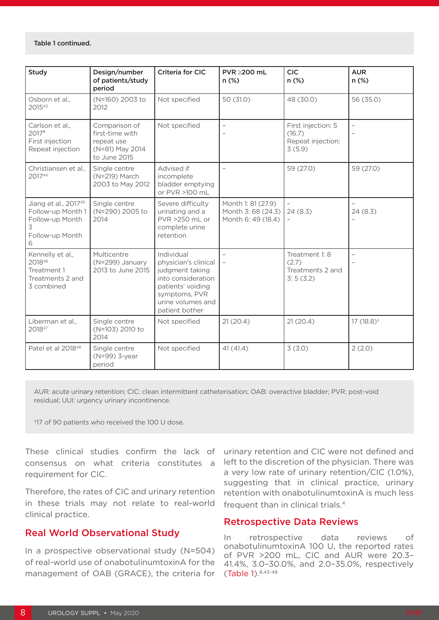| <b>Study</b>                                                                              | Design/number<br>of patients/study<br>period                                      | <b>Criteria for CIC</b>                                                                                                                                  | PVR ≥200 mL<br>$n$ (%)                                         | <b>CIC</b><br>n (%)                                         | <b>AUR</b><br>n (%) |
|-------------------------------------------------------------------------------------------|-----------------------------------------------------------------------------------|----------------------------------------------------------------------------------------------------------------------------------------------------------|----------------------------------------------------------------|-------------------------------------------------------------|---------------------|
| Osborn et al.,<br>201543                                                                  | (N=160) 2003 to<br>2012                                                           | Not specified                                                                                                                                            | 50 (31.0)                                                      | 48 (30.0)                                                   | 56 (35.0)           |
| Carlson et al.,<br>2017 <sup>8</sup><br>First injection<br>Repeat injection               | Comparison of<br>first-time with<br>repeat use<br>(N=81) May 2014<br>to June 2015 | Not specified                                                                                                                                            | $\overline{a}$                                                 | First injection: 5<br>(16.7)<br>Repeat injection:<br>3(5.9) | $\overline{a}$      |
| Christiansen et al.,<br>201744                                                            | Single centre<br>(N=219) March<br>2003 to May 2012                                | Advised if<br>incomplete<br>bladder emptying<br>or PVR >100 mL                                                                                           | $\overline{a}$                                                 | 59 (27.0)                                                   | 59 (27.0)           |
| Jiang et al., 201745<br>Follow-up Month 1<br>Follow-up Month<br>3<br>Follow-up Month<br>6 | Single centre<br>(N=290) 2005 to<br>2014                                          | Severe difficulty<br>urinating and a<br>PVR >250 mL or<br>complete urine<br>retention                                                                    | Month 1: 81 (27.9)<br>Month 3: 68 (24.3)<br>Month 6: 49 (18.4) | 24(8.3)                                                     | 24(8.3)             |
| Kennelly et al.,<br>201846<br>Treatment 1<br>Treatments 2 and<br>3 combined               | Multicentre<br>(N=299) January<br>2013 to June 2015                               | Individual<br>physician's clinical<br>judgment taking<br>into consideration<br>patients' voiding<br>symptoms, PVR<br>urine volumes and<br>patient bother | $\overline{\phantom{0}}$<br>$\overline{\phantom{a}}$           | Treatment 1: 8<br>(2.7)<br>Treatments 2 and<br>3:5(3.2)     | $\qquad \qquad -$   |
| Liberman et al.,<br>201847                                                                | Single centre<br>(N=103) 2010 to<br>2014                                          | Not specified                                                                                                                                            | 21(20.4)                                                       | 21(20.4)                                                    | $17(18.8)^+$        |
| Patel et al 2018 <sup>48</sup>                                                            | Single centre<br>(N=99) 3-year<br>period                                          | Not specified                                                                                                                                            | 41(41.4)                                                       | 3(3.0)                                                      | 2(2.0)              |

AUR: acute urinary retention; CIC: clean intermittent catheterisation; OAB: overactive bladder; PVR: post-void residual; UUI: urgency urinary incontinence.

†17 of 90 patients who received the 100 U dose.

These clinical studies confirm the lack of consensus on what criteria constitutes a requirement for CIC.

Therefore, the rates of CIC and urinary retention in these trials may not relate to real-world clinical practice.

#### Real World Observational Study

In a prospective observational study (N=504) of real-world use of onabotulinumtoxinA for the management of OAB (GRACE), the criteria for

urinary retention and CIC were not defined and left to the discretion of the physician. There was a very low rate of urinary retention/CIC (1.0%), suggesting that in clinical practice, urinary retention with onabotulinumtoxinA is much less frequent than in clinical trials.4

#### Retrospective Data Reviews

In retrospective data reviews of onabotulinumtoxinA 100 U, the reported rates of PVR >200 mL, CIC and AUR were 20.3– 41.4%, 3.0–30.0%, and 2.0–35.0%, respectively (Table 1).8,43-48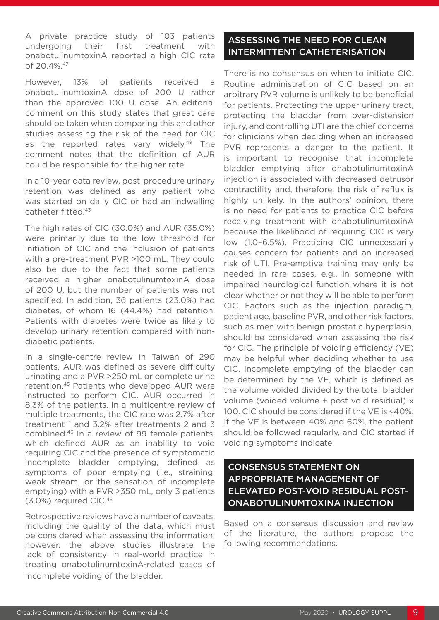A private practice study of 103 patients undergoing their first treatment with onabotulinumtoxinA reported a high CIC rate of 20.4%. 47

However, 13% of patients received a onabotulinumtoxinA dose of 200 U rather than the approved 100 U dose. An editorial comment on this study states that great care should be taken when comparing this and other studies assessing the risk of the need for CIC as the reported rates vary widely.<sup>49</sup> The comment notes that the definition of AUR could be responsible for the higher rate.

In a 10-year data review, post-procedure urinary retention was defined as any patient who was started on daily CIC or had an indwelling catheter fitted.43

The high rates of CIC (30.0%) and AUR (35.0%) were primarily due to the low threshold for initiation of CIC and the inclusion of patients with a pre-treatment PVR >100 mL. They could also be due to the fact that some patients received a higher onabotulinumtoxinA dose of 200 U, but the number of patients was not specified. In addition, 36 patients (23.0%) had diabetes, of whom 16 (44.4%) had retention. Patients with diabetes were twice as likely to develop urinary retention compared with nondiabetic patients.

In a single-centre review in Taiwan of 290 patients, AUR was defined as severe difficulty urinating and a PVR >250 mL or complete urine retention.45 Patients who developed AUR were instructed to perform CIC. AUR occurred in 8.3% of the patients. In a multicentre review of multiple treatments, the CIC rate was 2.7% after treatment 1 and 3.2% after treatments 2 and 3 combined.46 In a review of 99 female patients, which defined AUR as an inability to void requiring CIC and the presence of symptomatic incomplete bladder emptying, defined as symptoms of poor emptying (i.e., straining, weak stream, or the sensation of incomplete emptying) with a PVR ≥350 mL, only 3 patients (3.0%) required CIC.48

Retrospective reviews have a number of caveats, including the quality of the data, which must be considered when assessing the information; however, the above studies illustrate the lack of consistency in real-world practice in treating onabotulinumtoxinA-related cases of incomplete voiding of the bladder.

### ASSESSING THE NEED FOR CLEAN INTERMITTENT CATHETERISATION

There is no consensus on when to initiate CIC. Routine administration of CIC based on an arbitrary PVR volume is unlikely to be beneficial for patients. Protecting the upper urinary tract, protecting the bladder from over-distension injury, and controlling UTI are the chief concerns for clinicians when deciding when an increased PVR represents a danger to the patient. It is important to recognise that incomplete bladder emptying after onabotulinumtoxinA injection is associated with decreased detrusor contractility and, therefore, the risk of reflux is highly unlikely. In the authors' opinion, there is no need for patients to practice CIC before receiving treatment with onabotulinumtoxinA because the likelihood of requiring CIC is very low (1.0–6.5%). Practicing CIC unnecessarily causes concern for patients and an increased risk of UTI. Pre-emptive training may only be needed in rare cases, e.g., in someone with impaired neurological function where it is not clear whether or not they will be able to perform CIC. Factors such as the injection paradigm, patient age, baseline PVR, and other risk factors, such as men with benign prostatic hyperplasia, should be considered when assessing the risk for CIC. The principle of voiding efficiency (VE) may be helpful when deciding whether to use CIC. Incomplete emptying of the bladder can be determined by the VE, which is defined as the volume voided divided by the total bladder volume (voided volume + post void residual) x 100. CIC should be considered if the VE is ≤40%. If the VE is between 40% and 60%, the patient should be followed regularly, and CIC started if voiding symptoms indicate.

# CONSENSUS STATEMENT ON APPROPRIATE MANAGEMENT OF ELEVATED POST-VOID RESIDUAL POST-ONABOTULINUMTOXINA INJECTION

Based on a consensus discussion and review of the literature, the authors propose the following recommendations.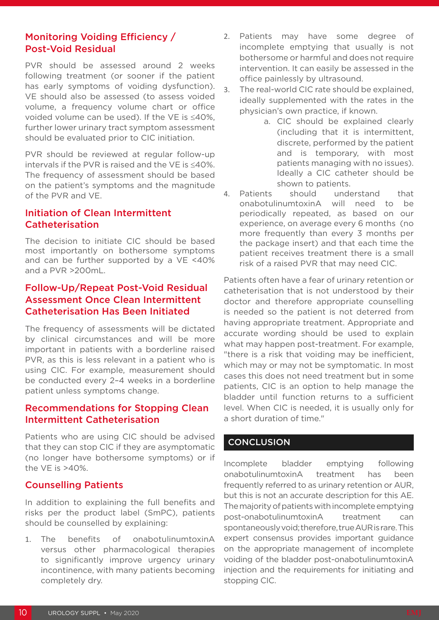### Monitoring Voiding Efficiency / Post-Void Residual

PVR should be assessed around 2 weeks following treatment (or sooner if the patient has early symptoms of voiding dysfunction). VE should also be assessed (to assess voided volume, a frequency volume chart or office voided volume can be used). If the VE is ≤40%, further lower urinary tract symptom assessment should be evaluated prior to CIC initiation.

PVR should be reviewed at regular follow-up intervals if the PVR is raised and the VE is ≤40%. The frequency of assessment should be based on the patient's symptoms and the magnitude of the PVR and VE.

### Initiation of Clean Intermittent Catheterisation

The decision to initiate CIC should be based most importantly on bothersome symptoms and can be further supported by a VE <40% and a PVR >200mL.

#### Follow-Up/Repeat Post-Void Residual Assessment Once Clean Intermittent Catheterisation Has Been Initiated

The frequency of assessments will be dictated by clinical circumstances and will be more important in patients with a borderline raised PVR, as this is less relevant in a patient who is using CIC. For example, measurement should be conducted every 2–4 weeks in a borderline patient unless symptoms change.

#### Recommendations for Stopping Clean Intermittent Catheterisation

Patients who are using CIC should be advised that they can stop CIC if they are asymptomatic (no longer have bothersome symptoms) or if the VE is >40%.

#### Counselling Patients

In addition to explaining the full benefits and risks per the product label (SmPC), patients should be counselled by explaining:

1. The benefits of onabotulinumtoxinA versus other pharmacological therapies to significantly improve urgency urinary incontinence, with many patients becoming completely dry.

- 2. Patients may have some degree of incomplete emptying that usually is not bothersome or harmful and does not require intervention. It can easily be assessed in the office painlessly by ultrasound.
- 3. The real-world CIC rate should be explained, ideally supplemented with the rates in the physician's own practice, if known.
	- a. CIC should be explained clearly (including that it is intermittent, discrete, performed by the patient and is temporary, with most patients managing with no issues). Ideally a CIC catheter should be shown to patients.
- 4. Patients should understand that onabotulinumtoxinA will need to be periodically repeated, as based on our experience, on average every 6 months (no more frequently than every 3 months per the package insert) and that each time the patient receives treatment there is a small risk of a raised PVR that may need CIC.

Patients often have a fear of urinary retention or catheterisation that is not understood by their doctor and therefore appropriate counselling is needed so the patient is not deterred from having appropriate treatment. Appropriate and accurate wording should be used to explain what may happen post-treatment. For example, "there is a risk that voiding may be inefficient, which may or may not be symptomatic. In most cases this does not need treatment but in some patients, CIC is an option to help manage the bladder until function returns to a sufficient level. When CIC is needed, it is usually only for a short duration of time."

### **CONCLUSION**

Incomplete bladder emptying following onabotulinumtoxinA treatment has been frequently referred to as urinary retention or AUR, but this is not an accurate description for this AE. The majority of patients with incomplete emptying post-onabotulinumtoxinA treatment can spontaneously void; therefore, true AUR is rare. This expert consensus provides important guidance on the appropriate management of incomplete voiding of the bladder post-onabotulinumtoxinA injection and the requirements for initiating and stopping CIC.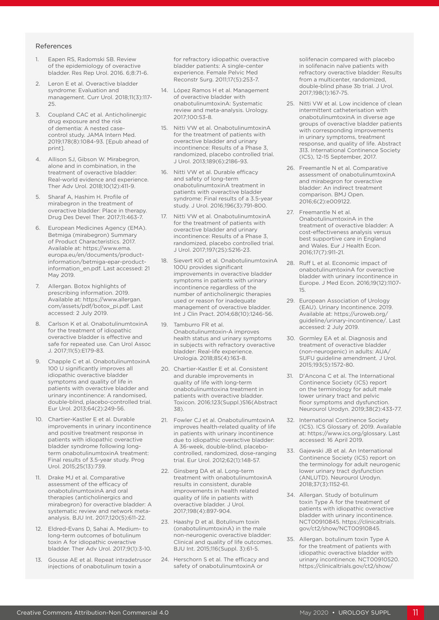#### References

- 1. Eapen RS, Radomski SB. Review of the epidemiology of overactive bladder. Res Rep Urol. 2016. 6;8:71-6.
- 2. Leron E et al. Overactive bladder syndrome: Evaluation and management. Curr Urol. 2018;11(3):117- 25.
- 3. Coupland CAC et al. Anticholinergic drug exposure and the risk of dementia: A nested casecontrol study. JAMA Intern Med. 2019;178(8):1084-93. [Epub ahead of print].
- 4. Allison SJ, Gibson W. Mirabegron, alone and in combination, in the treatment of overactive bladder: Real-world evidence and experience. Ther Adv Urol. 2018;10(12):411-9.
- 5. Sharaf A, Hashim H. Profile of mirabegron in the treatment of overactive bladder: Place in therapy. Drug Des Devel Ther. 2017;11:463-7.
- 6. European Medicines Agency (EMA). Betmiga (mirabegron) Summary of Product Characteristics. 2017. Available at: https://www.ema. europa.eu/en/documents/productinformation/betmiga-epar-productinformation\_en.pdf. Last accessed: 21 May 2019.
- 7. Allergan. Botox highlights of prescribing information. 2019. Available at: https://www.allergan. com/assets/pdf/botox\_pi.pdf. Last accessed: 2 July 2019.
- 8. Carlson K et al. OnabotulinumtoxinA for the treatment of idiopathic overactive bladder is effective and safe for repeated use. Can Urol Assoc J. 2017;11(5):E179-83.
- Chapple C et al. OnabotulinumtoxinA 100 U significantly improves all idiopathic overactive bladder symptoms and quality of life in patients with overactive bladder and urinary incontinence: A randomised, double-blind, placebo-controlled trial. Eur Urol. 2013;64(2):249-56.
- 10. Chartier-Kastler E et al. Durable improvements in urinary incontinence and positive treatment response in patients with idiopathic overactive bladder syndrome following longterm onabotulinumtoxinA treatment: Final results of 3.5-year study. Prog Urol. 2015;25(13):739.
- 11. Drake MJ et al. Comparative assessment of the efficacy of onabotulinumtoxinA and oral therapies (anticholinergics and mirabegron) for overactive bladder: A systematic review and network metaanalysis. BJU Int. 2017;120(5):611-22.
- 12. Eldred-Evans D, Sahai A. Medium- to long-term outcomes of botulinum toxin A for idiopathic overactive bladder. Ther Adv Urol. 2017;9(1):3-10.
- Gousse AE et al. Repeat intradetrusor injections of onabotulinum toxin a

for refractory idiopathic overactive bladder patients: A single-center experience. Female Pelvic Med Reconstr Surg. 2011;17(5):253-7.

- 14. López Ramos H et al. Management of overactive bladder with onabotulinumtoxinA: Systematic review and meta-analysis. Urology. 2017;100:53-8.
- 15. Nitti VW et al. OnabotulinumtoxinA for the treatment of patients with overactive bladder and urinary incontinence: Results of a Phase 3, randomized, placebo controlled trial. J Urol. 2013;189(6):2186-93.
- 16. Nitti VW et al. Durable efficacy and safety of long-term onabotulinumtoxinA treatment in patients with overactive bladder syndrome: Final results of a 3.5-year study. J Urol. 2016;196(3):791-800.
- 17. Nitti VW et al. OnabotulinumtoxinA for the treatment of patients with overactive bladder and urinary incontinence: Results of a Phase 3, randomized, placebo controlled trial. J Urol. 2017;197(2S):S216-23.
- 18. Sievert KID et al. OnabotulinumtoxinA 100U provides significant improvements in overactive bladder symptoms in patients with urinary incontinence regardless of the number of anticholinergic therapies used or reason for inadequate management of overactive bladder. Int J Clin Pract. 2014;68(10):1246-56.
- 19. Tamburro FR et al. Onabotulinumtoxin-A improves health status and urinary symptoms in subjects with refractory overactive bladder: Real-life experience. Urologia. 2018;85(4):163-8.
- 20. Chartier-Kastler E et al. Consistent and durable improvements in quality of life with long-term onabotulinumtoxina treatment in patients with overactive bladder. Toxicon. 2016;123(Suppl.)S16(Abstract 38).
- 21. Fowler CJ et al. OnabotulinumtoxinA improves health-related quality of life in patients with urinary incontinence due to idiopathic overactive bladder: A 36-week, double-blind, placebocontrolled, randomized, dose-ranging trial. Eur Urol. 2012;62(1):148-57.
- 22. Ginsberg DA et al. Long-term treatment with onabotulinumtoxinA results in consistent, durable improvements in health related quality of life in patients with overactive bladder. J Urol. 2017;198(4):897-904.
- 23. Haashy D et al. Botulinum toxin (onabotulinumtoxinA) in the male non-neurogenic overactive bladder: Clinical and quality of life outcomes. BJU Int. 2015;116(Suppl. 3):61-5.
- 24. Herschorn S et al. The efficacy and safety of onabotulinumtoxinA or

solifenacin compared with placebo in solifenacin naïve patients with refractory overactive bladder: Results from a multicenter, randomized, double-blind phase 3b trial. J Urol. 2017;198(1):167-75.

- 25. Nitti VW et al. Low incidence of clean intermittent catheterisation with onabotulinumtoxinA in diverse age groups of overactive bladder patients with corresponding improvements in urinary symptoms, treatment response, and quality of life. Abstract 313. International Continence Society (ICS), 12-15 September, 2017.
- 26. Freemantle N et al. Comparative assessment of onabotulinumtoxinA and mirabegron for overactive bladder: An indirect treatment comparison. BMJ Open. 2016;6(2):e009122.
- 27. Freemantle N et al. OnabotulinumtoxinA in the treatment of overactive bladder: A cost-effectiveness analysis versus best supportive care in England and Wales. Eur J Health Econ. 2016;17(7):911-21.
- 28. Ruff Let al. Economic impact of onabotulinumtoxinA for overactive bladder with urinary incontinence in Europe. J Med Econ. 2016;19(12):1107- 15.
- 29. European Association of Urology (EAU). Urinary Incontinence. 2019. Available at: https://uroweb.org/ guideline/urinary-incontinence/. Last accessed: 2 July 2019.
- 30. Gormley EA et al. Diagnosis and treatment of overactive bladder (non-neurogenic) in adults: AUA/ SUFU guideline amendment. J Urol. 2015;193(5):1572-80.
- 31. D'Ancona C et al. The International Continence Society (ICS) report on the terminology for adult male lower urinary tract and pelvic floor symptoms and dysfunction. Neurourol Urodyn. 2019;38(2):433-77.
- 32. International Continence Society (ICS). ICS Glossary of. 2019. Available at: https://www.ics.org/glossary. Last accessed: 16 April 2019.
- 33. Gajewski JB et al. An International Continence Society (ICS) report on the terminology for adult neurogenic lower urinary tract dysfunction (ANLUTD). Neurourol Urodyn. 2018;37(3):1152-61.
- 34. Allergan. Study of botulinum toxin Type A for the treatment of patients with idiopathic overactive bladder with urinary incontinence. NCT00910845. https://clinicaltrials. gov/ct2/show/NCT00910845.
- 35. Allergan. botulinum toxin Type A for the treatment of patients with idiopathic overactive bladder with urinary incontinence. NCT00910520. https://clinicaltrials.gov/ct2/show/